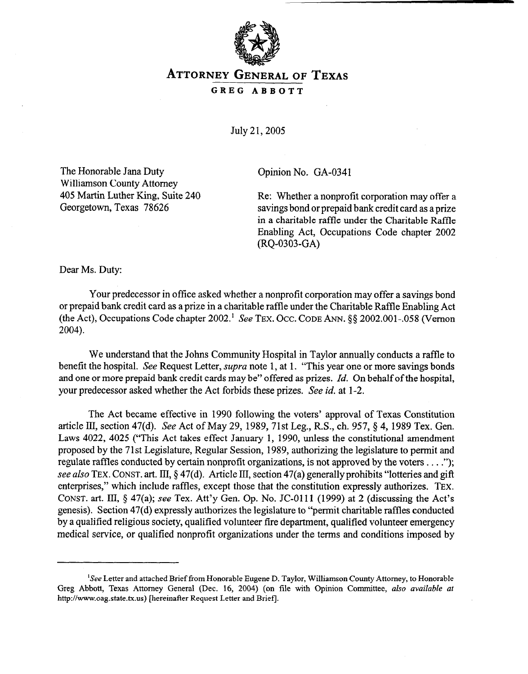

## **ATTORNEY GENERAL OF TEXAS GREG ABBOTT**

July 21, 2005

The Honorable Jana Duty Williamson County Attorney 405 Martin Luther King, Suite 240 Georgetown, Texas 78626

Opinion No. GA-0341

Re: Whether a nonprofit corporation may offer a savings bond or prepaid bank credit card as a prize in a charitable raffle under the Charitable Raffle Enabling Act, Occupations Code chapter 2002 (RQ-0303-GA)

Dear Ms. Duty:

Your predecessor in office asked whether a nonprofit corporation may offer a savings bond or prepaid bank credit card as a prize in a charitable raffle under the Charitable Raffle Enabling Act (the Act), Occupations Code chapter 2002.' See **TEX.** Oct. CODE ANN. \$5 2002.001-.058 (Vernon *2004).* 

We understand that the Johns Community Hospital in Taylor annually conducts a raffle to benefit the hospital. See Request Letter, *supra* note 1, at 1. "This year one or more savings bonds and one or more prepaid bank credit cards may be" offered as prizes. *Id.* On behalf of the hospital, your predecessor asked whether the Act forbids these prizes. See *id.* at l-2.

The Act became effective in 1990 following the voters' approval of Texas Constitution article III, section 47(d). See Act of May 29, 1989, 71st Leg., R.S., ch. 957, § 4, 1989 Tex. Gen. Laws 4022, 4025 ("This Act takes effect January 1, 1990, unless the constitutional amendment proposed by the 71st Legislature, Regular Session, 1989, authorizing the legislature to permit and regulate raffles conducted by certain nonprofit organizations, is not approved by the voters . . . ."); see also TEX. CONST. art. III, § 47(d). Article III, section 47(a) generally prohibits "lotteries and gift enterprises," which include raffles, except those that the constitution expressly authorizes. **TEX.**  CONST. art. III, § 47(a); see Tex. Att'y Gen. Op. No. JC-0111 (1999) at 2 (discussing the Act's genesis). Section 47(d) expressly authorizes the legislature to "permit charitable raffles conducted by a qualified religious society, qualified volunteer fire department, qualified volunteer emergency medical service, or qualified nonprofit organizations under the terms and conditions imposed by

<sup>&</sup>lt;sup>1</sup>See Letter and attached Brief from Honorable Eugene D. Taylor, Williamson County Attorney, to Honorable Greg Abbott, Texas Attorney General (Dec. 16, 2004) (on file with Opinion Committee, *also available at*  http://www.oag.state.tx.us) [hereinafter Request Letter and Brief].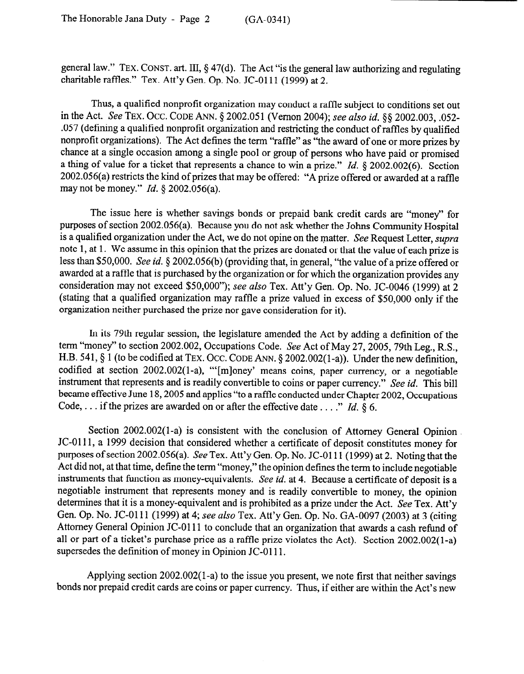general law." TEX. CONST. art. III, § 47(d). The Act "is the general law authorizing and regulating charitable raffles." Tex. Att'y Gen. Op. No. JC-0111 (1999) at 2.

Thus, a qualified nonprofit organization may conduct a raffle subject to conditions set out in the Act. See TEX. Occ. CODE ANN. § 2002.051 (Vernon 2004); see also id. §§ 2002.003, .052-.057 (defining a qualified nonprofit organization and restricting the conduct of raffles by qualified nonprofit organizations). The Act defines the term "raffle" as "the award of one or more prizes by chance at a single occasion among a single pool or group of persons who have paid or promised a thing of value for a ticket that represents a chance to win a prize." *Id.* 6 2002.002(6). Section 2002.056(a) restricts the kind of prizes that may be offered: "A prize offered or awarded at a raffle may not be money." *Id. \$2002.056(a).* 

The issue here is whether savings bonds or prepaid bank credit cards are "money" for purposes of section 2002.056(a). Because you do not ask whether the Johns Community Hospital is a qualified organization under the Act, we do not opine on the matter. See Request Letter, *supru*  note 1, at 1. We assume in this opinion that the prizes are donated or that the value of each prize is less than \$50,000. See *id.* § 2002.056(b) (providing that, in general, "the value of a prize offered or awarded at a raffle that is purchased by the organization or for which the organization provides any consideration may not exceed \$50,000"); see *aho* Tex. Att'y Gen. Op. No. JC-0046 (1999) at 2 (stating that a qualified organization may raffle a prize valued in excess of \$50,000 only if the organization neither purchased the prize nor gave consideration for it).

In its 79th regular session, the legislature amended the Act by adding a definition of the term "money" to section 2002.002, Occupations Code. See Act of May 27, 2005, 79th Leg., R.S., H.B. 541, § 1 (to be codified at TEX. Occ. CODE ANN. § 2002.002(1-a)). Under the new definition, codified at section 2002.002(1-a), "'[mloney' means coins, paper currency, or a negotiable instrument that represents and is readily convertible to coins or paper currency." See *id.* This bill became effective June 18,2005 and applies "to a raffle conducted under Chapter 2002, Occupations Code,  $\ldots$  if the prizes are awarded on or after the effective date  $\ldots$  " *Id.*  $\delta$  6.

Section 2002.002(1-a) is consistent with the conclusion of Attorney General Opinion. JC-0111, a 1999 decision that considered whether a certificate of deposit constitutes money for purposes of section 2002.056(a). See Tex. Att'y Gen. Op. No. JC-0111 (1999) at 2. Noting that the Act did not, at that time, define the term "money," the opinion defines the term to include negotiable instruments that function as money-equivalents. See *id.* at 4. Because a certificate of deposit is a negotiable instrument that represents money and is readily convertible to money, the opinion determines that it is a money-equivalent and is prohibited as a prize under the Act. See Tex. Att'y Gen. Op. No. JC-0111 (1999) at 4; see *also* Tex. Att'y Gen. Op. No. GA-0097 (2003) at 3 (citing Attorney General Opinion JC-0111 to conclude that an organization that awards a cash refund of all or part of a ticket's purchase price as a raffle prize violates the Act). Section 2002.002(1-a) supersedes the definition of money in Opinion JC-0111.

Applying section 2002.002(1-a) to the issue you present, we note first that neither savings bonds nor prepaid credit cards are coins or paper currency. Thus, if either are within the Act's new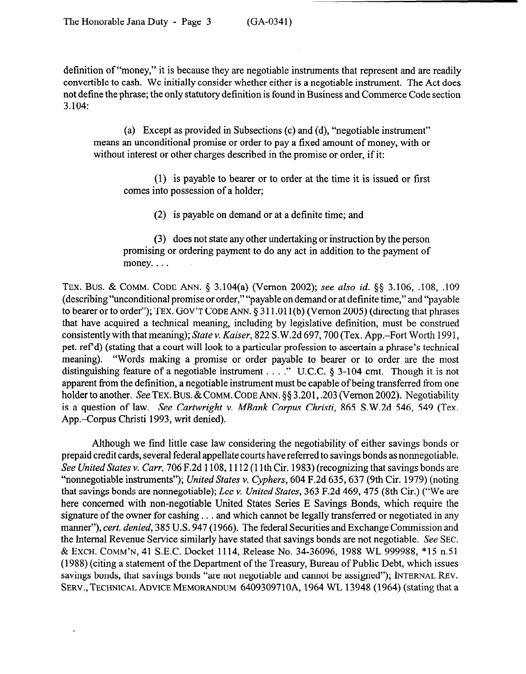definition of "money," it is because they are negotiable instruments that represent and are readily convertible to cash. We initially consider whether either is a negotiable instrument. The Act does not define the phrase; the only statutory definition is found in Business and Commerce Code section 3.104:

(a) Except as provided in Subsections (c) and (d), "negotiable instrument" means an unconditional promise or order to pay a fixed amount of money, with or without interest or other charges described in the promise or order, if it:

(1) is payable to bearer or to order at the time it is issued or first comes into possession of a holder;

(2) is payable on demand or at a definite time; and

(3) does not state any other undertaking or instruction by the person promising or ordering payment to do any act in addition to the payment of money. . . .

**TEX.** Bus. & **COMM. CODE ANN.** 0 3.104(a) (Vernon 2002); see also *id. \$9* 3.106, .108, .109 (describing "unconditional promise or order," "payable on demand or at definite time," and "payable to bearer or to order"); TEX. GOV'T CODE ANN. § 311.011(b) (Vernon 2005) (directing that phrases that have acquired a technical meaning, including by legislative definition, must be construed consistently with that meaning); *State v. Kaiser, 822 S.* W.2d 697,700 (Tex. App.-Fort Worth 1991, pet. ref d) (stating that a court will look to a particular profession to ascertain a phrase's technical meaning). "Words making a promise or order payable to bearer or to order are the most distinguishing feature of a negotiable instrument . . . ." U.C.C. § 3-104 cmt. Though it is not apparent from the definition, a negotiable instrument must be capable of being transferred from one holder to another. See **TEX.** Bus. & **COMM. CODE** ANN. \$9 3.201, -203 (Vernon 2002). Negotiability is a question of law. *See Cartwright v. MBank Corpus Christi, 865* S.W.2d 546, 549 (Tex. App.-Corpus Christi 1993, writ denied).

Although we find little case law considering the negotiability of either savings bonds or prepaid credit cards, several federal appellate courts have referred to savings bonds as nonnegotiable. *See United States v. Carr, 706 F.2d 1108, 1112 (11th Cir. 1983)* (recognizing that savings bonds are "nonnegotiable instruments"); *United States v. Cyphers,* 604 F.2d 635,637 (9th Cir. 1979) (noting that savings bonds are nonnegotiable); *Lee v. United States, 363* F.2d 469, 475 (8th Cir.) ("We are here concerned with non-negotiable United States Series E Savings Bonds, which require the signature of the owner for cashing . . . and which cannot be legally transferred or negotiated in any manner"), *cert. denied,* 385 U.S. 947 (1966). The federal Securities and Exchange Commission and the Internal Revenue Service similarly have stated that savings bonds are not negotiable. See **SEC.**  & **EXCH. COMM'N,** 41 S.E.C. Docket 1114, Release No. 34-36096, 1988 WL 999988, \*15 n.51 (1988) (citing a statement of the Department of the Treasury, Bureau of Public Debt, which issues savings bonds, that savings bonds "are not negotiable and cannot be assigned"); **INTERNAL REV.**  SERV., TECHNICAL ADVICE MEMORANDUM 6409309710A, 1964 WL 13948 (1964) (stating that a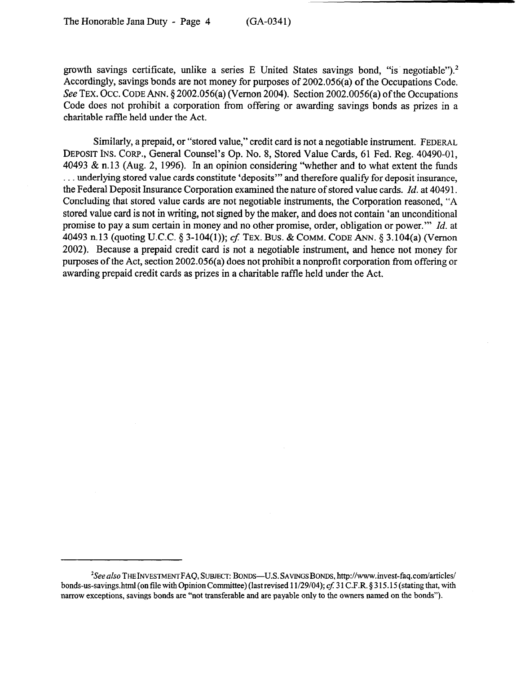growth savings certificate, unlike a series E United States savings bond, "is negotiable").2 Accordingly, savings bonds are not money for purposes of 2002.056(a) of the Occupations Code. See TEX. Occ. CODE ANN. § 2002.056(a) (Vernon 2004). Section 2002.0056(a) of the Occupations Code does not prohibit a corporation from offering or awarding savings bonds as prizes in a charitable raffle held under the Act.

Similarly, a prepaid, or "stored value," credit card is not a negotiable instrument. **FEDERAL**  DEPOSIT INS. CORP., General Counsel's Op. No. 8, Stored Value Cards, 61 Fed. Reg. 40490-01, 40493 & n.13 (Aug. 2, 1996). In an opinion considering "whether and to what extent the funds . . . underlying stored value cards constitute 'deposits"' and therefore qualify for deposit insurance, the Federal Deposit Insurance Corporation examined the nature of stored value cards. *Id.* at 40491. Concluding that stored value cards are not negotiable instruments, the Corporation reasoned, "A stored value card is not in writing, not signed by the maker, and does not contain 'an unconditional promise to pay a sum certain in money and no other promise, order, obligation or power."' *Id.* at 40493 n.13 (quoting U.C.C. § 3-104(1)); cf. TEX. BUS. & COMM. CODE ANN. § 3.104(a) (Vernon 2002). Because a prepaid credit card is not a negotiable instrument, and hence not money for purposes of the Act, section 2002.056(a) does not prohibit a nonprofit corporation from offering or awarding prepaid credit cards as prizes in a charitable raffle held under the Act.

*<sup>\*</sup>Seealso* THEINVESTMENTFAQ, SUBJECT: BONDS-U.S. SAVINGSBONDS, http://www.invest-faq.com/articles/ bonds-us-savings.html (on file with Opinion Committee) (last revised 11/29/04); cf. 31 C.F.R. § 315.15 (stating that, with narrow exceptions, savings bonds are "not transferable and are payable only to the owners named on the bonds").